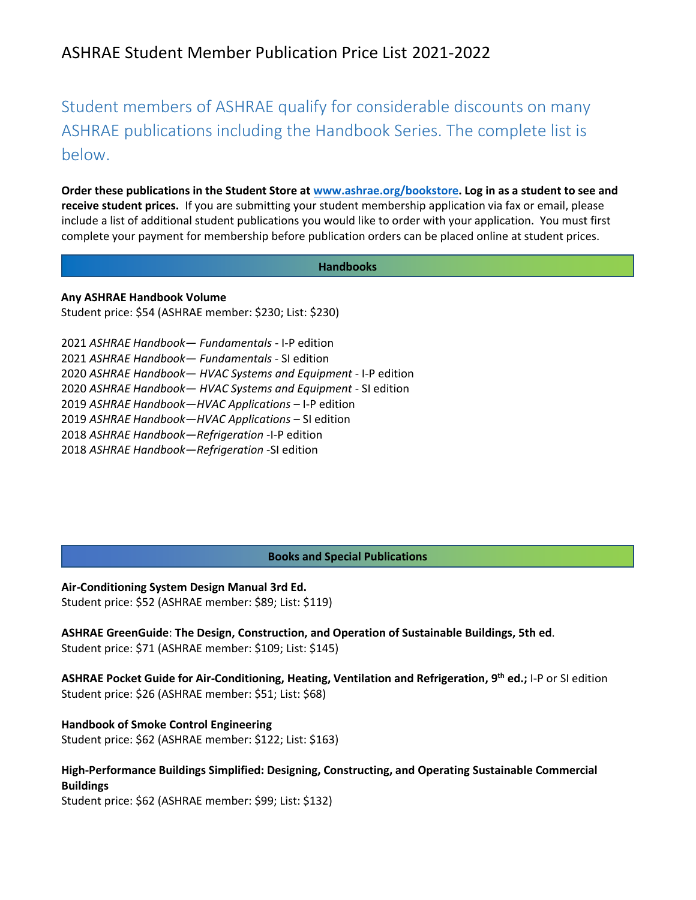# ASHRAE Student Member Publication Price List 2021-2022

Student members of ASHRAE qualify for considerable discounts on many ASHRAE publications including the Handbook Series. The complete list is below.

**Order these publications in the Student Store at [www.ashrae.org/bookstore.](http://www.ashrae.org/bookstore) Log in as a student to see and receive student prices.** If you are submitting your student membership application via fax or email, please include a list of additional student publications you would like to order with your application. You must first complete your payment for membership before publication orders can be placed online at student prices.

#### **Handbooks**

**Any ASHRAE Handbook Volume** 

Student price: \$54 (ASHRAE member: \$230; List: \$230)

| 2021 ASHRAE Handbook- Fundamentals - I-P edition                |
|-----------------------------------------------------------------|
| 2021 ASHRAE Handbook - Fundamentals - SI edition                |
| 2020 ASHRAE Handbook - HVAC Systems and Equipment - I-P edition |
| 2020 ASHRAE Handbook - HVAC Systems and Equipment - SI edition  |
| 2019 ASHRAE Handbook-HVAC Applications - I-P edition            |
| 2019 ASHRAE Handbook-HVAC Applications - SI edition             |
| 2018 ASHRAE Handbook-Refrigeration -I-P edition                 |
| 2018 ASHRAE Handbook-Refrigeration -SI edition                  |
|                                                                 |

### **Books and Special Publications**

**Air-Conditioning System Design Manual 3rd Ed.**  Student price: \$52 (ASHRAE member: \$89; List: \$119)

**ASHRAE GreenGuide**: **The Design, Construction, and Operation of Sustainable Buildings, 5th ed**. Student price: \$71 (ASHRAE member: \$109; List: \$145)

**ASHRAE Pocket Guide for Air-Conditioning, Heating, Ventilation and Refrigeration, 9th ed.;** I-P or SI edition Student price: \$26 (ASHRAE member: \$51; List: \$68)

**Handbook of Smoke Control Engineering**  Student price: \$62 (ASHRAE member: \$122; List: \$163)

**High-Performance Buildings Simplified: Designing, Constructing, and Operating Sustainable Commercial Buildings**

Student price: \$62 (ASHRAE member: \$99; List: \$132)